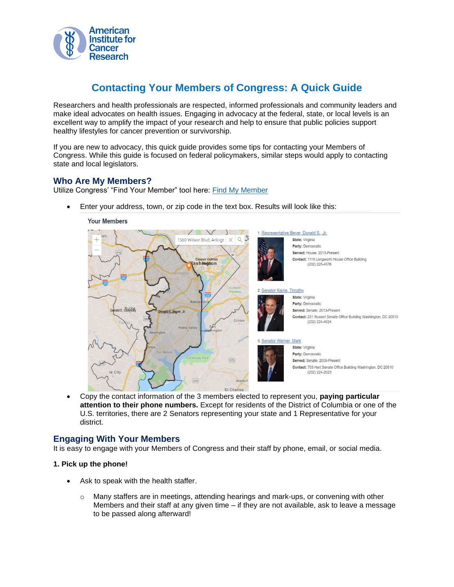

# **Contacting Your Members of Congress: A Quick Guide**

Researchers and health professionals are respected, informed professionals and community leaders and make ideal advocates on health issues. Engaging in advocacy at the federal, state, or local levels is an excellent way to amplify the impact of your research and help to ensure that public policies support healthy lifestyles for cancer prevention or survivorship.

If you are new to advocacy, this quick guide provides some tips for contacting your Members of Congress. While this guide is focused on federal policymakers, similar steps would apply to contacting state and local legislators.

## **Who Are My Members?**

Utilize Congress' "Find Your Member" tool here: [Find My Member](https://www.congress.gov/members/find-your-member)

• Enter your address, town, or zip code in the text box. Results will look like this:



• Copy the contact information of the 3 members elected to represent you, **paying particular attention to their phone numbers.** Except for residents of the District of Columbia or one of the U.S. territories, there are 2 Senators representing your state and 1 Representative for your district.

### **Engaging With Your Members**

It is easy to engage with your Members of Congress and their staff by phone, email, or social media.

#### **1. Pick up the phone!**

- Ask to speak with the health staffer.
	- $\circ$  Many staffers are in meetings, attending hearings and mark-ups, or convening with other Members and their staff at any given time – if they are not available, ask to leave a message to be passed along afterward!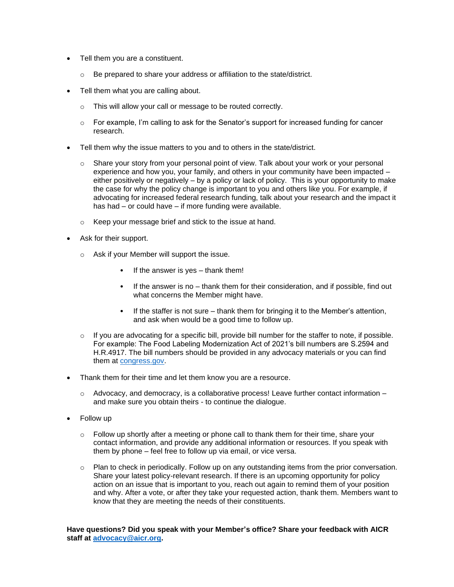- Tell them you are a constituent.
	- o Be prepared to share your address or affiliation to the state/district.
- Tell them what you are calling about.
	- o This will allow your call or message to be routed correctly.
	- o For example, I'm calling to ask for the Senator's support for increased funding for cancer research.
- Tell them why the issue matters to you and to others in the state/district.
	- $\circ$  Share your story from your personal point of view. Talk about your work or your personal experience and how you, your family, and others in your community have been impacted – either positively or negatively – by a policy or lack of policy. This is your opportunity to make the case for why the policy change is important to you and others like you. For example, if advocating for increased federal research funding, talk about your research and the impact it has had – or could have – if more funding were available.
	- o Keep your message brief and stick to the issue at hand.
- Ask for their support.
	- o Ask if your Member will support the issue.
		- If the answer is yes  $-$  thank them!
		- If the answer is no thank them for their consideration, and if possible, find out what concerns the Member might have.
		- If the staffer is not sure thank them for bringing it to the Member's attention, and ask when would be a good time to follow up.
	- $\circ$  If you are advocating for a specific bill, provide bill number for the staffer to note, if possible. For example: The Food Labeling Modernization Act of 2021's bill numbers are S.2594 and H.R.4917. The bill numbers should be provided in any advocacy materials or you can find them at [congress.gov.](https://www.congress.gov/)
- Thank them for their time and let them know you are a resource.
	- $\circ$  Advocacy, and democracy, is a collaborative process! Leave further contact information and make sure you obtain theirs - to continue the dialogue.
- Follow up
	- $\circ$  Follow up shortly after a meeting or phone call to thank them for their time, share your contact information, and provide any additional information or resources. If you speak with them by phone – feel free to follow up via email, or vice versa.
	- $\circ$  Plan to check in periodically. Follow up on any outstanding items from the prior conversation. Share your latest policy-relevant research. If there is an upcoming opportunity for policy action on an issue that is important to you, reach out again to remind them of your position and why. After a vote, or after they take your requested action, thank them. Members want to know that they are meeting the needs of their constituents.

**Have questions? Did you speak with your Member's office? Share your feedback with AICR staff at [advocacy@aicr.org.](mailto:advocacy@aicr.org)**